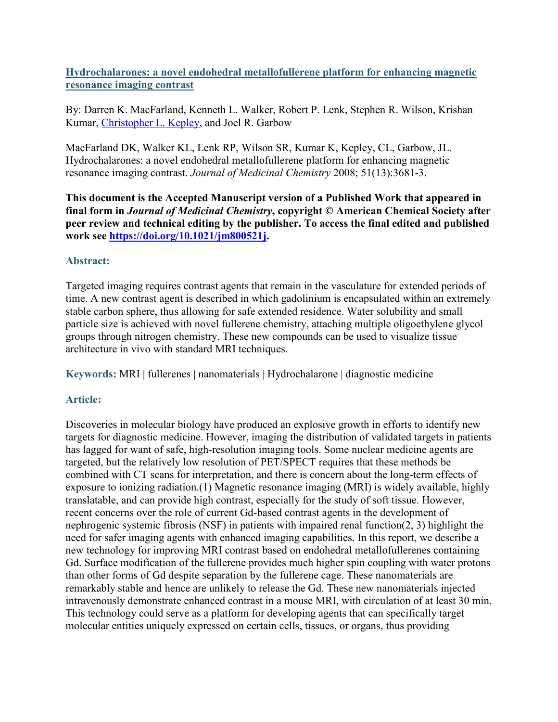**Hydrochalarones: a novel endohedral metallofullerene platform for enhancing magnetic resonance imaging contrast**

By: Darren K. MacFarland, Kenneth L. Walker, Robert P. Lenk, Stephen R. Wilson, Krishan Kumar, [Christopher L. Kepley,](https://libres.uncg.edu/ir/uncg/clist.aspx?id=8161) and Joel R. Garbow

MacFarland DK, Walker KL, Lenk RP, Wilson SR, Kumar K, Kepley, CL, Garbow, JL. Hydrochalarones: a novel endohedral metallofullerene platform for enhancing magnetic resonance imaging contrast. *Journal of Medicinal Chemistry* 2008; 51(13):3681-3.

**This document is the Accepted Manuscript version of a Published Work that appeared in final form in** *Journal of Medicinal Chemistry***, copyright © American Chemical Society after peer review and technical editing by the publisher. To access the final edited and published work see [https://doi.org/10.1021/jm800521j.](https://doi.org/10.1021/jm800521j)**

## **Abstract:**

Targeted imaging requires contrast agents that remain in the vasculature for extended periods of time. A new contrast agent is described in which gadolinium is encapsulated within an extremely stable carbon sphere, thus allowing for safe extended residence. Water solubility and small particle size is achieved with novel fullerene chemistry, attaching multiple oligoethylene glycol groups through nitrogen chemistry. These new compounds can be used to visualize tissue architecture in vivo with standard MRI techniques.

**Keywords:** MRI | fullerenes | nanomaterials | Hydrochalarone | diagnostic medicine

# **Article:**

Discoveries in molecular biology have produced an explosive growth in efforts to identify new targets for diagnostic medicine. However, imaging the distribution of validated targets in patients has lagged for want of safe, high-resolution imaging tools. Some nuclear medicine agents are targeted, but the relatively low resolution of PET/SPECT requires that these methods be combined with CT scans for interpretation, and there is concern about the long-term effects of exposure to ionizing radiation.(1) Magnetic resonance imaging (MRI) is widely available, highly translatable, and can provide high contrast, especially for the study of soft tissue. However, recent concerns over the role of current Gd-based contrast agents in the development of nephrogenic systemic fibrosis (NSF) in patients with impaired renal function(2, 3) highlight the need for safer imaging agents with enhanced imaging capabilities. In this report, we describe a new technology for improving MRI contrast based on endohedral metallofullerenes containing Gd. Surface modification of the fullerene provides much higher spin coupling with water protons than other forms of Gd despite separation by the fullerene cage. These nanomaterials are remarkably stable and hence are unlikely to release the Gd. These new nanomaterials injected intravenously demonstrate enhanced contrast in a mouse MRI, with circulation of at least 30 min. This technology could serve as a platform for developing agents that can specifically target molecular entities uniquely expressed on certain cells, tissues, or organs, thus providing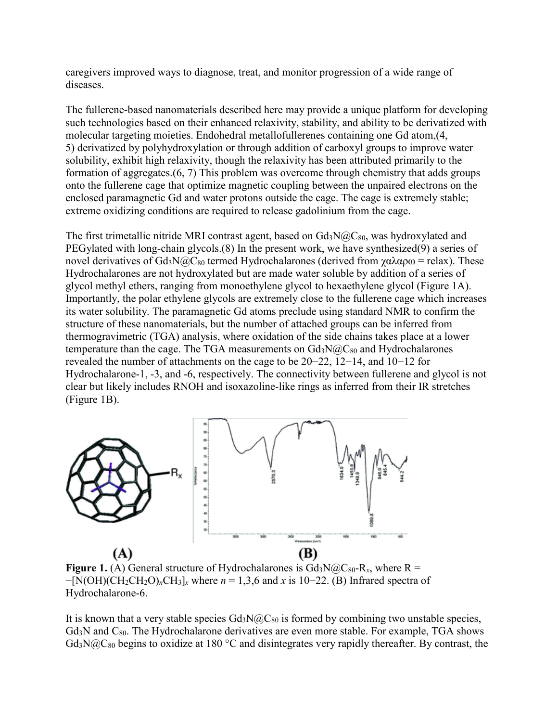caregivers improved ways to diagnose, treat, and monitor progression of a wide range of diseases.

The fullerene-based nanomaterials described here may provide a unique platform for developing such technologies based on their enhanced relaxivity, stability, and ability to be derivatized with molecular targeting moieties. Endohedral metallofullerenes containing one Gd atom,(4, 5) derivatized by polyhydroxylation or through addition of carboxyl groups to improve water solubility, exhibit high relaxivity, though the relaxivity has been attributed primarily to the formation of aggregates.(6, 7) This problem was overcome through chemistry that adds groups onto the fullerene cage that optimize magnetic coupling between the unpaired electrons on the enclosed paramagnetic Gd and water protons outside the cage. The cage is extremely stable; extreme oxidizing conditions are required to release gadolinium from the cage.

The first trimetallic nitride MRI contrast agent, based on  $Gd_3N@C_{80}$ , was hydroxylated and PEGylated with long-chain glycols.(8) In the present work, we have synthesized(9) a series of novel derivatives of Gd<sub>3</sub>N@C<sub>80</sub> termed Hydrochalarones (derived from γαλαρω = relax). These Hydrochalarones are not hydroxylated but are made water soluble by addition of a series of glycol methyl ethers, ranging from monoethylene glycol to hexaethylene glycol (Figure 1A). Importantly, the polar ethylene glycols are extremely close to the fullerene cage which increases its water solubility. The paramagnetic Gd atoms preclude using standard NMR to confirm the structure of these nanomaterials, but the number of attached groups can be inferred from thermogravimetric (TGA) analysis, where oxidation of the side chains takes place at a lower temperature than the cage. The TGA measurements on  $Gd_3N@C_{80}$  and Hydrochalarones revealed the number of attachments on the cage to be 20−22, 12−14, and 10−12 for Hydrochalarone-1, -3, and -6, respectively. The connectivity between fullerene and glycol is not clear but likely includes RNOH and isoxazoline-like rings as inferred from their IR stretches (Figure 1B).



**Figure 1.** (A) General structure of Hydrochalarones is  $Gd_3N@C_{80}R_x$ , where R = −[N(OH)(CH2CH2O)*n*CH3]*<sup>x</sup>* where *n* = 1,3,6 and *x* is 10−22. (B) Infrared spectra of Hydrochalarone-6.

It is known that a very stable species  $Gd_3N@C_{80}$  is formed by combining two unstable species,  $Gd<sub>3</sub>N$  and  $C<sub>80</sub>$ . The Hydrochalarone derivatives are even more stable. For example, TGA shows  $Gd_3N@C_{80}$  begins to oxidize at 180 °C and disintegrates very rapidly thereafter. By contrast, the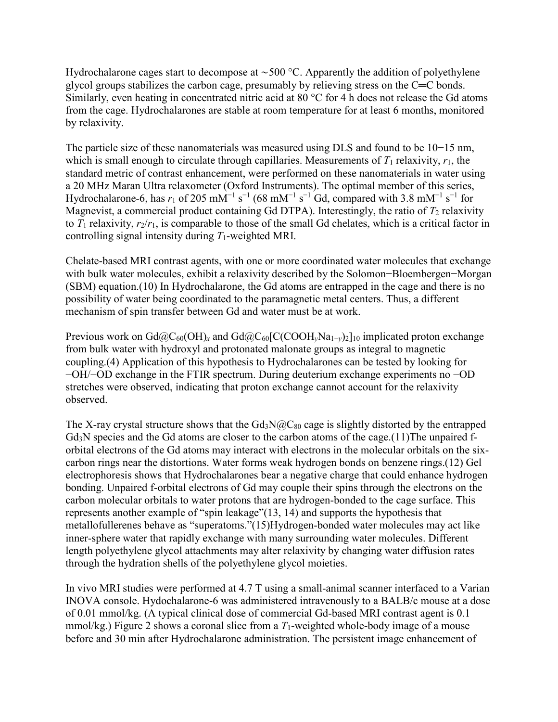Hydrochalarone cages start to decompose at ∼500 °C. Apparently the addition of polyethylene glycol groups stabilizes the carbon cage, presumably by relieving stress on the C═C bonds. Similarly, even heating in concentrated nitric acid at 80 °C for 4 h does not release the Gd atoms from the cage. Hydrochalarones are stable at room temperature for at least 6 months, monitored by relaxivity.

The particle size of these nanomaterials was measured using DLS and found to be 10−15 nm, which is small enough to circulate through capillaries. Measurements of  $T_1$  relaxivity,  $r_1$ , the standard metric of contrast enhancement, were performed on these nanomaterials in water using a 20 MHz Maran Ultra relaxometer (Oxford Instruments). The optimal member of this series, Hydrochalarone-6, has  $r_1$  of 205 mM<sup>-1</sup> s<sup>-1</sup> (68 mM<sup>-1</sup> s<sup>-1</sup> Gd, compared with 3.8 mM<sup>-1</sup> s<sup>-1</sup> for Magnevist, a commercial product containing Gd DTPA). Interestingly, the ratio of  $T_2$  relaxivity to  $T_1$  relaxivity,  $r_2/r_1$ , is comparable to those of the small Gd chelates, which is a critical factor in controlling signal intensity during *T*1-weighted MRI.

Chelate-based MRI contrast agents, with one or more coordinated water molecules that exchange with bulk water molecules, exhibit a relaxivity described by the Solomon−Bloembergen−Morgan (SBM) equation.(10) In Hydrochalarone, the Gd atoms are entrapped in the cage and there is no possibility of water being coordinated to the paramagnetic metal centers. Thus, a different mechanism of spin transfer between Gd and water must be at work.

Previous work on Gd@C<sub>60</sub>(OH)<sub>x</sub> and Gd@C<sub>60</sub>[C(COOH<sub>*y*</sub>Na<sub>1-*y*</sub>)<sub>2</sub>]<sub>10</sub> implicated proton exchange from bulk water with hydroxyl and protonated malonate groups as integral to magnetic coupling.(4) Application of this hypothesis to Hydrochalarones can be tested by looking for −OH/−OD exchange in the FTIR spectrum. During deuterium exchange experiments no −OD stretches were observed, indicating that proton exchange cannot account for the relaxivity observed.

The X-ray crystal structure shows that the  $Gd_3N@C_{80}$  cage is slightly distorted by the entrapped Gd<sub>3</sub>N species and the Gd atoms are closer to the carbon atoms of the cage.(11)The unpaired forbital electrons of the Gd atoms may interact with electrons in the molecular orbitals on the sixcarbon rings near the distortions. Water forms weak hydrogen bonds on benzene rings.(12) Gel electrophoresis shows that Hydrochalarones bear a negative charge that could enhance hydrogen bonding. Unpaired f-orbital electrons of Gd may couple their spins through the electrons on the carbon molecular orbitals to water protons that are hydrogen-bonded to the cage surface. This represents another example of "spin leakage"(13, 14) and supports the hypothesis that metallofullerenes behave as "superatoms."(15)Hydrogen-bonded water molecules may act like inner-sphere water that rapidly exchange with many surrounding water molecules. Different length polyethylene glycol attachments may alter relaxivity by changing water diffusion rates through the hydration shells of the polyethylene glycol moieties.

In vivo MRI studies were performed at 4.7 T using a small-animal scanner interfaced to a Varian INOVA console. Hydochalarone-6 was administered intravenously to a BALB/c mouse at a dose of 0.01 mmol/kg. (A typical clinical dose of commercial Gd-based MRI contrast agent is 0.1 mmol/kg.) Figure 2 shows a coronal slice from a *T*1-weighted whole-body image of a mouse before and 30 min after Hydrochalarone administration. The persistent image enhancement of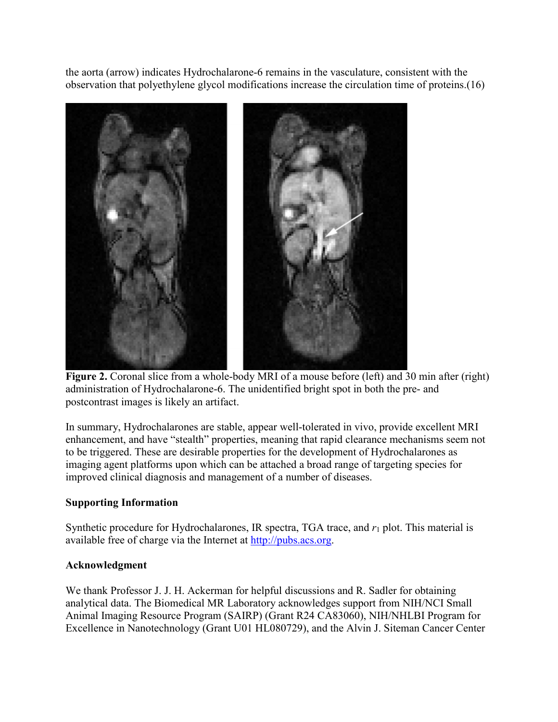the aorta (arrow) indicates Hydrochalarone-6 remains in the vasculature, consistent with the observation that polyethylene glycol modifications increase the circulation time of proteins.(16)



**Figure 2.** Coronal slice from a whole-body MRI of a mouse before (left) and 30 min after (right) administration of Hydrochalarone-6. The unidentified bright spot in both the pre- and postcontrast images is likely an artifact.

In summary, Hydrochalarones are stable, appear well-tolerated in vivo, provide excellent MRI enhancement, and have "stealth" properties, meaning that rapid clearance mechanisms seem not to be triggered. These are desirable properties for the development of Hydrochalarones as imaging agent platforms upon which can be attached a broad range of targeting species for improved clinical diagnosis and management of a number of diseases.

### **Supporting Information**

Synthetic procedure for Hydrochalarones, IR spectra, TGA trace, and *r*<sup>1</sup> plot. This material is available free of charge via the Internet at [http://pubs.acs.org.](http://pubs.acs.org/)

### **Acknowledgment**

We thank Professor J. J. H. Ackerman for helpful discussions and R. Sadler for obtaining analytical data. The Biomedical MR Laboratory acknowledges support from NIH/NCI Small Animal Imaging Resource Program (SAIRP) (Grant R24 CA83060), NIH/NHLBI Program for Excellence in Nanotechnology (Grant U01 HL080729), and the Alvin J. Siteman Cancer Center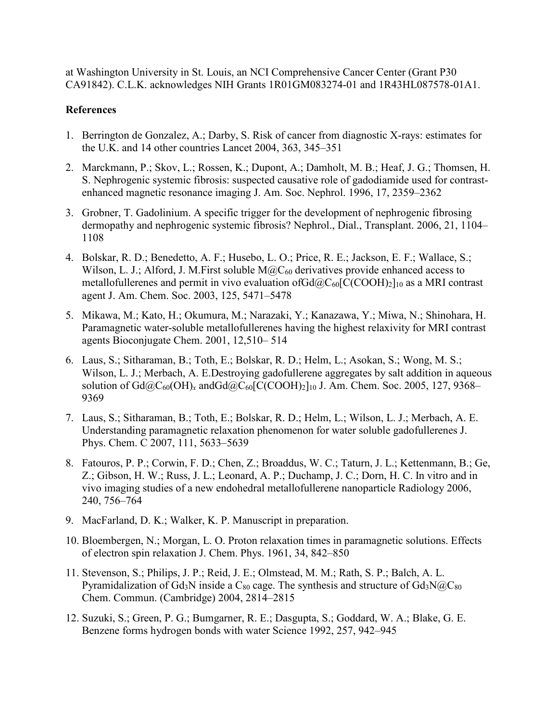at Washington University in St. Louis, an NCI Comprehensive Cancer Center (Grant P30 CA91842). C.L.K. acknowledges NIH Grants 1R01GM083274-01 and 1R43HL087578-01A1.

#### **References**

- 1. Berrington de Gonzalez, A.; Darby, S. Risk of cancer from diagnostic X-rays: estimates for the U.K. and 14 other countries Lancet 2004, 363, 345–351
- 2. Marckmann, P.; Skov, L.; Rossen, K.; Dupont, A.; Damholt, M. B.; Heaf, J. G.; Thomsen, H. S. Nephrogenic systemic fibrosis: suspected causative role of gadodiamide used for contrastenhanced magnetic resonance imaging J. Am. Soc. Nephrol. 1996, 17, 2359–2362
- 3. Grobner, T. Gadolinium. A specific trigger for the development of nephrogenic fibrosing dermopathy and nephrogenic systemic fibrosis? Nephrol., Dial., Transplant. 2006, 21, 1104– 1108
- 4. Bolskar, R. D.; Benedetto, A. F.; Husebo, L. O.; Price, R. E.; Jackson, E. F.; Wallace, S.; Wilson, L. J.; Alford, J. M. First soluble  $M@C_{60}$  derivatives provide enhanced access to metallofullerenes and permit in vivo evaluation ofGd $@C_{60}$ [C(COOH)<sub>2</sub>]<sub>10</sub> as a MRI contrast agent J. Am. Chem. Soc. 2003, 125, 5471–5478
- 5. Mikawa, M.; Kato, H.; Okumura, M.; Narazaki, Y.; Kanazawa, Y.; Miwa, N.; Shinohara, H. Paramagnetic water-soluble metallofullerenes having the highest relaxivity for MRI contrast agents Bioconjugate Chem. 2001, 12,510– 514
- 6. Laus, S.; Sitharaman, B.; Toth, E.; Bolskar, R. D.; Helm, L.; Asokan, S.; Wong, M. S.; Wilson, L. J.; Merbach, A. E.Destroying gadofullerene aggregates by salt addition in aqueous solution of Gd@C<sub>60</sub>(OH)<sub>x</sub> andGd@C<sub>60</sub>[C(COOH)<sub>2</sub>]<sub>10</sub> J. Am. Chem. Soc. 2005, 127, 9368– 9369
- 7. Laus, S.; Sitharaman, B.; Toth, E.; Bolskar, R. D.; Helm, L.; Wilson, L. J.; Merbach, A. E. Understanding paramagnetic relaxation phenomenon for water soluble gadofullerenes J. Phys. Chem. C 2007, 111, 5633–5639
- 8. Fatouros, P. P.; Corwin, F. D.; Chen, Z.; Broaddus, W. C.; Taturn, J. L.; Kettenmann, B.; Ge, Z.; Gibson, H. W.; Russ, J. L.; Leonard, A. P.; Duchamp, J. C.; Dorn, H. C. In vitro and in vivo imaging studies of a new endohedral metallofullerene nanoparticle Radiology 2006, 240, 756–764
- 9. MacFarland, D. K.; Walker, K. P. Manuscript in preparation.
- 10. Bloembergen, N.; Morgan, L. O. Proton relaxation times in paramagnetic solutions. Effects of electron spin relaxation J. Chem. Phys. 1961, 34, 842–850
- 11. Stevenson, S.; Philips, J. P.; Reid, J. E.; Olmstead, M. M.; Rath, S. P.; Balch, A. L. Pyramidalization of Gd<sub>3</sub>N inside a C<sub>80</sub> cage. The synthesis and structure of Gd<sub>3</sub>N $@C_{80}$ Chem. Commun. (Cambridge) 2004, 2814–2815
- 12. Suzuki, S.; Green, P. G.; Bumgarner, R. E.; Dasgupta, S.; Goddard, W. A.; Blake, G. E. Benzene forms hydrogen bonds with water Science 1992, 257, 942–945